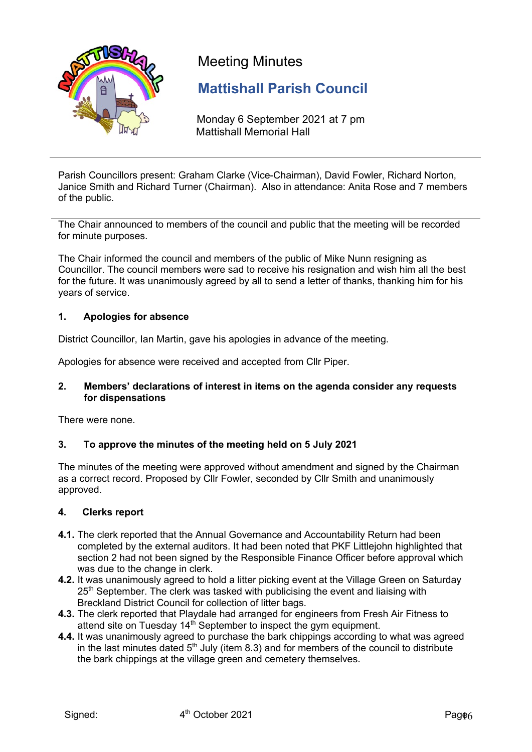

# Meeting Minutes

# **Mattishall Parish Council**

Monday 6 September 2021 at 7 pm Mattishall Memorial Hall

Parish Councillors present: Graham Clarke (Vice-Chairman), David Fowler, Richard Norton, Janice Smith and Richard Turner (Chairman). Also in attendance: Anita Rose and 7 members of the public.

The Chair announced to members of the council and public that the meeting will be recorded for minute purposes.

The Chair informed the council and members of the public of Mike Nunn resigning as Councillor. The council members were sad to receive his resignation and wish him all the best for the future. It was unanimously agreed by all to send a letter of thanks, thanking him for his years of service.

#### **1. Apologies for absence**

District Councillor, Ian Martin, gave his apologies in advance of the meeting.

Apologies for absence were received and accepted from Cllr Piper.

#### **2. Members' declarations of interest in items on the agenda consider any requests for dispensations**

There were none.

#### **3. To approve the minutes of the meeting held on 5 July 2021**

The minutes of the meeting were approved without amendment and signed by the Chairman as a correct record. Proposed by Cllr Fowler, seconded by Cllr Smith and unanimously approved.

#### **4. Clerks report**

- **4.1.** The clerk reported that the Annual Governance and Accountability Return had been completed by the external auditors. It had been noted that PKF Littlejohn highlighted that section 2 had not been signed by the Responsible Finance Officer before approval which was due to the change in clerk.
- **4.2.** It was unanimously agreed to hold a litter picking event at the Village Green on Saturday 25<sup>th</sup> September. The clerk was tasked with publicising the event and liaising with Breckland District Council for collection of litter bags.
- **4.3.** The clerk reported that Playdale had arranged for engineers from Fresh Air Fitness to attend site on Tuesday  $14<sup>th</sup>$  September to inspect the gym equipment.
- **4.4.** It was unanimously agreed to purchase the bark chippings according to what was agreed in the last minutes dated  $5<sup>th</sup>$  July (item 8.3) and for members of the council to distribute the bark chippings at the village green and cemetery themselves.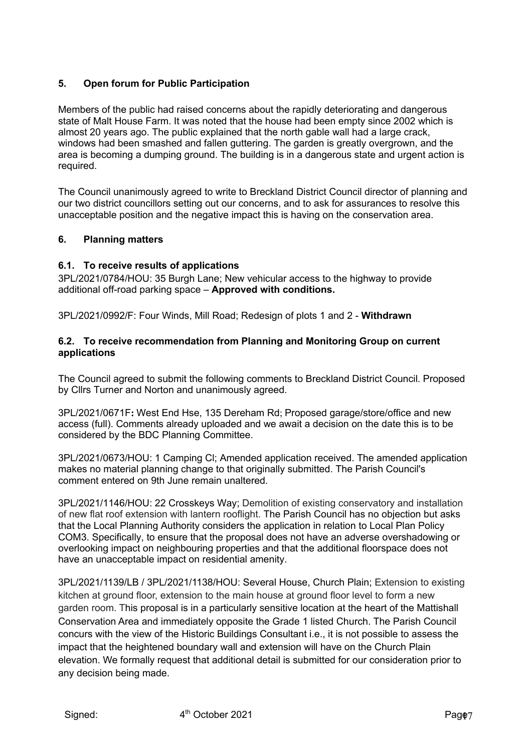# **5. Open forum for Public Participation**

Members of the public had raised concerns about the rapidly deteriorating and dangerous state of Malt House Farm. It was noted that the house had been empty since 2002 which is almost 20 years ago. The public explained that the north gable wall had a large crack, windows had been smashed and fallen guttering. The garden is greatly overgrown, and the area is becoming a dumping ground. The building is in a dangerous state and urgent action is required.

The Council unanimously agreed to write to Breckland District Council director of planning and our two district councillors setting out our concerns, and to ask for assurances to resolve this unacceptable position and the negative impact this is having on the conservation area.

# **6. Planning matters**

#### **6.1. To receive results of applications**

3PL/2021/0784/HOU: 35 Burgh Lane; New vehicular access to the highway to provide additional off-road parking space – **Approved with conditions.**

3PL/2021/0992/F: Four Winds, Mill Road; Redesign of plots 1 and 2 - **Withdrawn**

#### **6.2. To receive recommendation from Planning and Monitoring Group on current applications**

The Council agreed to submit the following comments to Breckland District Council. Proposed by Cllrs Turner and Norton and unanimously agreed.

3PL/2021/0671F**:** West End Hse, 135 Dereham Rd; Proposed garage/store/office and new access (full). Comments already uploaded and we await a decision on the date this is to be considered by the BDC Planning Committee.

3PL/2021/0673/HOU: 1 Camping Cl; Amended application received. The amended application makes no material planning change to that originally submitted. The Parish Council's comment entered on 9th June remain unaltered.

3PL/2021/1146/HOU: 22 Crosskeys Way; Demolition of existing conservatory and installation of new flat roof extension with lantern rooflight. The Parish Council has no objection but asks that the Local Planning Authority considers the application in relation to Local Plan Policy COM3. Specifically, to ensure that the proposal does not have an adverse overshadowing or overlooking impact on neighbouring properties and that the additional floorspace does not have an unacceptable impact on residential amenity.

3PL/2021/1139/LB / 3PL/2021/1138/HOU: Several House, Church Plain; Extension to existing kitchen at ground floor, extension to the main house at ground floor level to form a new garden room. This proposal is in a particularly sensitive location at the heart of the Mattishall Conservation Area and immediately opposite the Grade 1 listed Church. The Parish Council concurs with the view of the Historic Buildings Consultant i.e., it is not possible to assess the impact that the heightened boundary wall and extension will have on the Church Plain elevation. We formally request that additional detail is submitted for our consideration prior to any decision being made.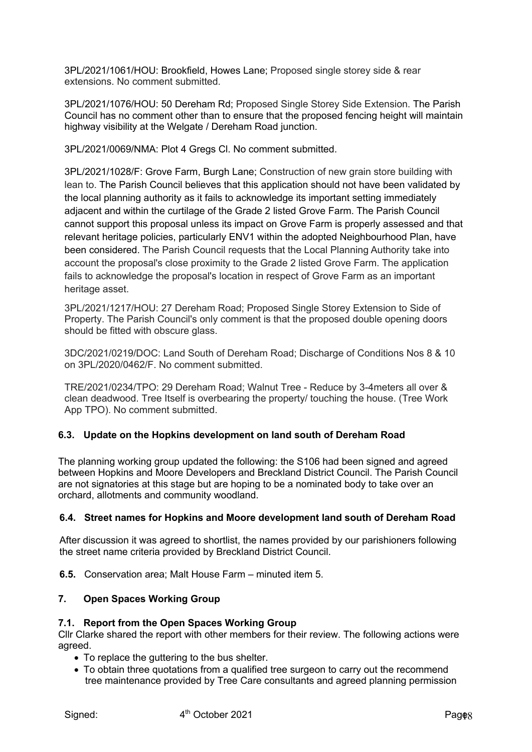3PL/2021/1061/HOU: Brookfield, Howes Lane; Proposed single storey side & rear extensions. No comment submitted.

3PL/2021/1076/HOU: 50 Dereham Rd; Proposed Single Storey Side Extension. The Parish Council has no comment other than to ensure that the proposed fencing height will maintain highway visibility at the Welgate / Dereham Road junction.

3PL/2021/0069/NMA: Plot 4 Gregs Cl. No comment submitted.

3PL/2021/1028/F: Grove Farm, Burgh Lane; Construction of new grain store building with lean to. The Parish Council believes that this application should not have been validated by the local planning authority as it fails to acknowledge its important setting immediately adjacent and within the curtilage of the Grade 2 listed Grove Farm. The Parish Council cannot support this proposal unless its impact on Grove Farm is properly assessed and that relevant heritage policies, particularly ENV1 within the adopted Neighbourhood Plan, have been considered. The Parish Council requests that the Local Planning Authority take into account the proposal's close proximity to the Grade 2 listed Grove Farm. The application fails to acknowledge the proposal's location in respect of Grove Farm as an important heritage asset.

3PL/2021/1217/HOU: 27 Dereham Road; Proposed Single Storey Extension to Side of Property. The Parish Council's only comment is that the proposed double opening doors should be fitted with obscure glass.

3DC/2021/0219/DOC: Land South of Dereham Road; Discharge of Conditions Nos 8 & 10 on 3PL/2020/0462/F. No comment submitted.

TRE/2021/0234/TPO: 29 Dereham Road; Walnut Tree - Reduce by 3-4meters all over & clean deadwood. Tree Itself is overbearing the property/ touching the house. (Tree Work App TPO). No comment submitted.

# **6.3. Update on the Hopkins development on land south of Dereham Road**

The planning working group updated the following: the S106 had been signed and agreed between Hopkins and Moore Developers and Breckland District Council. The Parish Council are not signatories at this stage but are hoping to be a nominated body to take over an orchard, allotments and community woodland.

#### **6.4. Street names for Hopkins and Moore development land south of Dereham Road**

After discussion it was agreed to shortlist, the names provided by our parishioners following the street name criteria provided by Breckland District Council.

**6.5.** Conservation area; Malt House Farm – minuted item 5.

#### **7. Open Spaces Working Group**

#### **7.1. Report from the Open Spaces Working Group**

Cllr Clarke shared the report with other members for their review. The following actions were agreed.

- To replace the guttering to the bus shelter.
- To obtain three quotations from a qualified tree surgeon to carry out the recommend tree maintenance provided by Tree Care consultants and agreed planning permission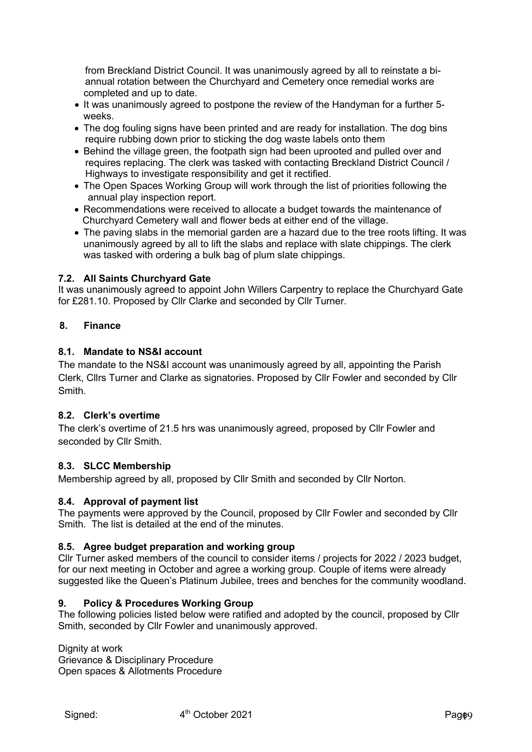from Breckland District Council. It was unanimously agreed by all to reinstate a bi annual rotation between the Churchyard and Cemetery once remedial works are completed and up to date.

- It was unanimously agreed to postpone the review of the Handyman for a further 5 weeks.
- The dog fouling signs have been printed and are ready for installation. The dog bins require rubbing down prior to sticking the dog waste labels onto them
- Behind the village green, the footpath sign had been uprooted and pulled over and requires replacing. The clerk was tasked with contacting Breckland District Council / Highways to investigate responsibility and get it rectified.
- The Open Spaces Working Group will work through the list of priorities following the annual play inspection report.
- Recommendations were received to allocate a budget towards the maintenance of Churchyard Cemetery wall and flower beds at either end of the village.
- The paving slabs in the memorial garden are a hazard due to the tree roots lifting. It was unanimously agreed by all to lift the slabs and replace with slate chippings. The clerk was tasked with ordering a bulk bag of plum slate chippings.

# **7.2. All Saints Churchyard Gate**

It was unanimously agreed to appoint John Willers Carpentry to replace the Churchyard Gate for £281.10. Proposed by Cllr Clarke and seconded by Cllr Turner.

#### **8. Finance**

#### **8.1. Mandate to NS&I account**

The mandate to the NS&I account was unanimously agreed by all, appointing the Parish Clerk, Cllrs Turner and Clarke as signatories. Proposed by Cllr Fowler and seconded by Cllr **Smith** 

#### **8.2. Clerk's overtime**

The clerk's overtime of 21.5 hrs was unanimously agreed, proposed by Cllr Fowler and seconded by Cllr Smith.

#### **8.3. SLCC Membership**

Membership agreed by all, proposed by Cllr Smith and seconded by Cllr Norton.

#### **8.4. Approval of payment list**

The payments were approved by the Council, proposed by Cllr Fowler and seconded by Cllr Smith. The list is detailed at the end of the minutes.

#### **8.5. Agree budget preparation and working group**

Cllr Turner asked members of the council to consider items / projects for 2022 / 2023 budget, for our next meeting in October and agree a working group. Couple of items were already suggested like the Queen's Platinum Jubilee, trees and benches for the community woodland.

#### **9. Policy & Procedures Working Group**

The following policies listed below were ratified and adopted by the council, proposed by Cllr Smith, seconded by Cllr Fowler and unanimously approved.

Dignity at work Grievance & Disciplinary Procedure Open spaces & Allotments Procedure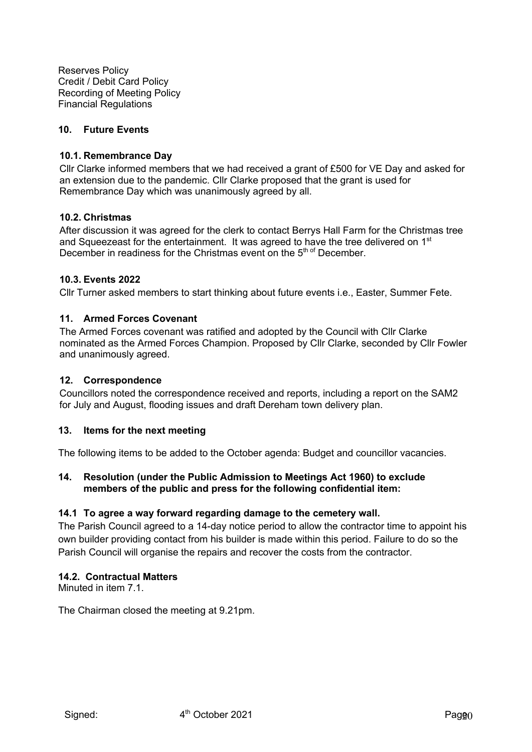Reserves Policy Credit / Debit Card Policy Recording of Meeting Policy Financial Regulations

#### **10. Future Events**

#### **10.1. Remembrance Day**

Cllr Clarke informed members that we had received a grant of £500 for VE Day and asked for an extension due to the pandemic. Cllr Clarke proposed that the grant is used for Remembrance Day which was unanimously agreed by all.

#### **10.2. Christmas**

After discussion it was agreed for the clerk to contact Berrys Hall Farm for the Christmas tree and Squeezeast for the entertainment. It was agreed to have the tree delivered on  $1<sup>st</sup>$ December in readiness for the Christmas event on the 5<sup>th of</sup> December.

#### **10.3. Events 2022**

Cllr Turner asked members to start thinking about future events i.e., Easter, Summer Fete.

#### **11. Armed Forces Covenant**

The Armed Forces covenant was ratified and adopted by the Council with Cllr Clarke nominated as the Armed Forces Champion. Proposed by Cllr Clarke, seconded by Cllr Fowler and unanimously agreed.

#### **12. Correspondence**

Councillors noted the correspondence received and reports, including a report on the SAM2 for July and August, flooding issues and draft Dereham town delivery plan.

#### **13. Items for the next meeting**

The following items to be added to the October agenda: Budget and councillor vacancies.

#### **14. Resolution (under the Public Admission to Meetings Act 1960) to exclude members of the public and press for the following confidential item:**

#### **14.1 To agree a way forward regarding damage to the cemetery wall.**

The Parish Council agreed to a 14-day notice period to allow the contractor time to appoint his own builder providing contact from his builder is made within this period. Failure to do so the Parish Council will organise the repairs and recover the costs from the contractor.

#### **14.2. Contractual Matters**

Minuted in item 7.1.

The Chairman closed the meeting at 9.21pm.